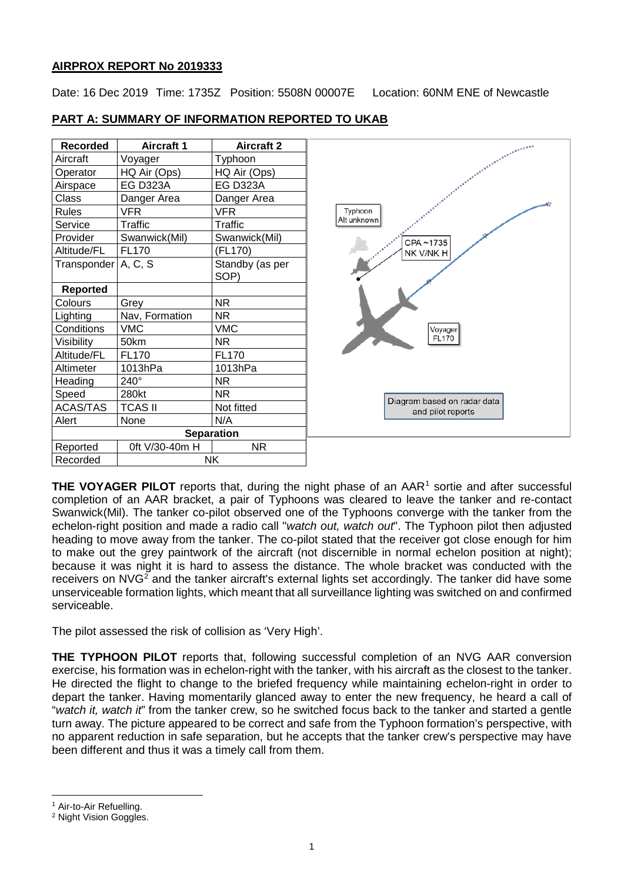## **AIRPROX REPORT No 2019333**

Date: 16 Dec 2019 Time: 1735Z Position: 5508N 00007E Location: 60NM ENE of Newcastle

 $\rightarrow$ 

| <b>Recorded</b>     | <b>Aircraft 1</b> | <b>Aircraft 2</b>       |
|---------------------|-------------------|-------------------------|
| Aircraft            | Voyager           | Typhoon                 |
| Operator            | HQ Air (Ops)      | HQ Air (Ops)            |
| Airspace            | <b>EG D323A</b>   | <b>EG D323A</b>         |
| Class               | Danger Area       | Danger Area             |
| <b>Rules</b>        | <b>VFR</b>        | VFR                     |
| Service             | <b>Traffic</b>    | Traffic                 |
| Provider            | Swanwick(Mil)     | Swanwick(Mil)           |
| Altitude/FL         | <b>FL170</b>      | (FL170)                 |
| Transponder A, C, S |                   | Standby (as per<br>SOP) |
| <b>Reported</b>     |                   |                         |
| Colours             | Grey              | <b>NR</b>               |
| Lighting            | Nav, Formation    | <b>NR</b>               |
| Conditions          | <b>VMC</b>        | <b>VMC</b>              |
| Visibility          | 50km              | <b>NR</b>               |
| Altitude/FL         | <b>FL170</b>      | <b>FL170</b>            |
| Altimeter           | 1013hPa           | 1013hPa                 |
| Heading             | 240°              | <b>NR</b>               |
| Speed               | 280kt             | <b>NR</b>               |
| <b>ACAS/TAS</b>     | <b>TCAS II</b>    | Not fitted              |
| Alert               | None              | N/A                     |
|                     |                   | <b>Separation</b>       |
| Reported            | 0ft V/30-40m H    | <b>NR</b>               |
| Recorded            |                   | <b>NK</b>               |

## **PART A: SUMMARY OF INFORMATION REPORTED TO UKAB**

**THE VOYAGER PILOT** reports that, during the night phase of an AAR<sup>[1](#page-0-0)</sup> sortie and after successful completion of an AAR bracket, a pair of Typhoons was cleared to leave the tanker and re-contact Swanwick(Mil). The tanker co-pilot observed one of the Typhoons converge with the tanker from the echelon-right position and made a radio call "*watch out, watch out*". The Typhoon pilot then adjusted heading to move away from the tanker. The co-pilot stated that the receiver got close enough for him to make out the grey paintwork of the aircraft (not discernible in normal echelon position at night); because it was night it is hard to assess the distance. The whole bracket was conducted with the receivers on NVG<sup>[2](#page-0-1)</sup> and the tanker aircraft's external lights set accordingly. The tanker did have some unserviceable formation lights, which meant that all surveillance lighting was switched on and confirmed serviceable.

The pilot assessed the risk of collision as 'Very High'.

**THE TYPHOON PILOT** reports that, following successful completion of an NVG AAR conversion exercise, his formation was in echelon-right with the tanker, with his aircraft as the closest to the tanker. He directed the flight to change to the briefed frequency while maintaining echelon-right in order to depart the tanker. Having momentarily glanced away to enter the new frequency, he heard a call of "*watch it, watch it*" from the tanker crew, so he switched focus back to the tanker and started a gentle turn away. The picture appeared to be correct and safe from the Typhoon formation's perspective, with no apparent reduction in safe separation, but he accepts that the tanker crew's perspective may have been different and thus it was a timely call from them.

 $\overline{\phantom{a}}$ 

<span id="page-0-0"></span><sup>&</sup>lt;sup>1</sup> Air-to-Air Refuelling.

<span id="page-0-1"></span><sup>2</sup> Night Vision Goggles.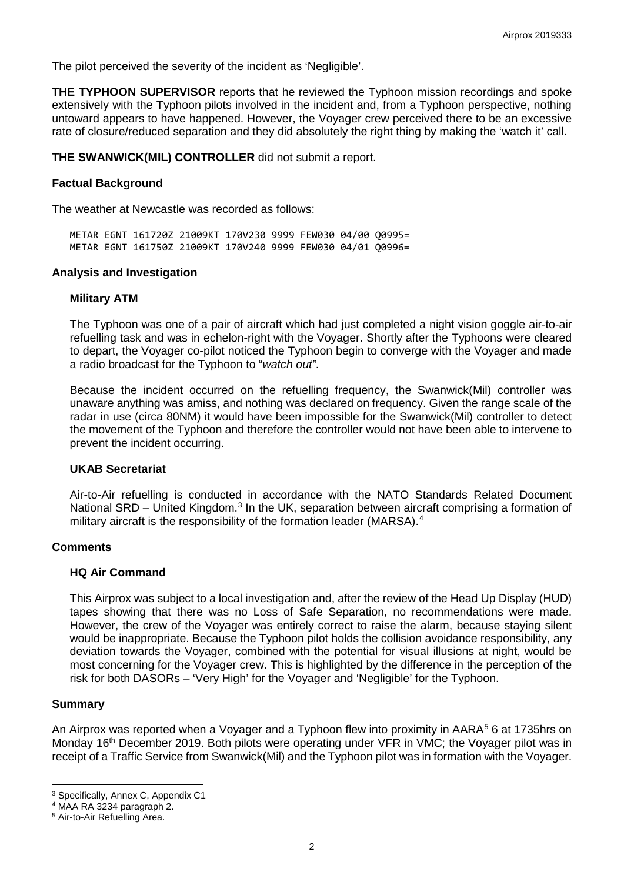The pilot perceived the severity of the incident as 'Negligible'.

**THE TYPHOON SUPERVISOR** reports that he reviewed the Typhoon mission recordings and spoke extensively with the Typhoon pilots involved in the incident and, from a Typhoon perspective, nothing untoward appears to have happened. However, the Voyager crew perceived there to be an excessive rate of closure/reduced separation and they did absolutely the right thing by making the 'watch it' call.

**THE SWANWICK(MIL) CONTROLLER** did not submit a report.

### **Factual Background**

The weather at Newcastle was recorded as follows:

METAR EGNT 161720Z 21009KT 170V230 9999 FEW030 04/00 Q0995= METAR EGNT 161750Z 21009KT 170V240 9999 FEW030 04/01 Q0996=

### **Analysis and Investigation**

## **Military ATM**

The Typhoon was one of a pair of aircraft which had just completed a night vision goggle air-to-air refuelling task and was in echelon-right with the Voyager. Shortly after the Typhoons were cleared to depart, the Voyager co-pilot noticed the Typhoon begin to converge with the Voyager and made a radio broadcast for the Typhoon to "*watch out"*.

Because the incident occurred on the refuelling frequency, the Swanwick(Mil) controller was unaware anything was amiss, and nothing was declared on frequency. Given the range scale of the radar in use (circa 80NM) it would have been impossible for the Swanwick(Mil) controller to detect the movement of the Typhoon and therefore the controller would not have been able to intervene to prevent the incident occurring.

#### **UKAB Secretariat**

Air-to-Air refuelling is conducted in accordance with the NATO Standards Related Document National SRD – United Kingdom.<sup>[3](#page-1-0)</sup> In the UK, separation between aircraft comprising a formation of military aircraft is the responsibility of the formation leader (MARSA).<sup>[4](#page-1-1)</sup>

#### **Comments**

#### **HQ Air Command**

This Airprox was subject to a local investigation and, after the review of the Head Up Display (HUD) tapes showing that there was no Loss of Safe Separation, no recommendations were made. However, the crew of the Voyager was entirely correct to raise the alarm, because staying silent would be inappropriate. Because the Typhoon pilot holds the collision avoidance responsibility, any deviation towards the Voyager, combined with the potential for visual illusions at night, would be most concerning for the Voyager crew. This is highlighted by the difference in the perception of the risk for both DASORs – 'Very High' for the Voyager and 'Negligible' for the Typhoon.

#### **Summary**

An Airprox was reported when a Voyager and a Typhoon flew into proximity in AARA<sup>[5](#page-1-2)</sup> 6 at 1735hrs on Monday 16<sup>th</sup> December 2019. Both pilots were operating under VFR in VMC; the Voyager pilot was in receipt of a Traffic Service from Swanwick(Mil) and the Typhoon pilot was in formation with the Voyager.

l <sup>3</sup> Specifically, Annex C, Appendix C1

<span id="page-1-1"></span><span id="page-1-0"></span><sup>4</sup> MAA RA 3234 paragraph 2.

<span id="page-1-2"></span><sup>5</sup> Air-to-Air Refuelling Area.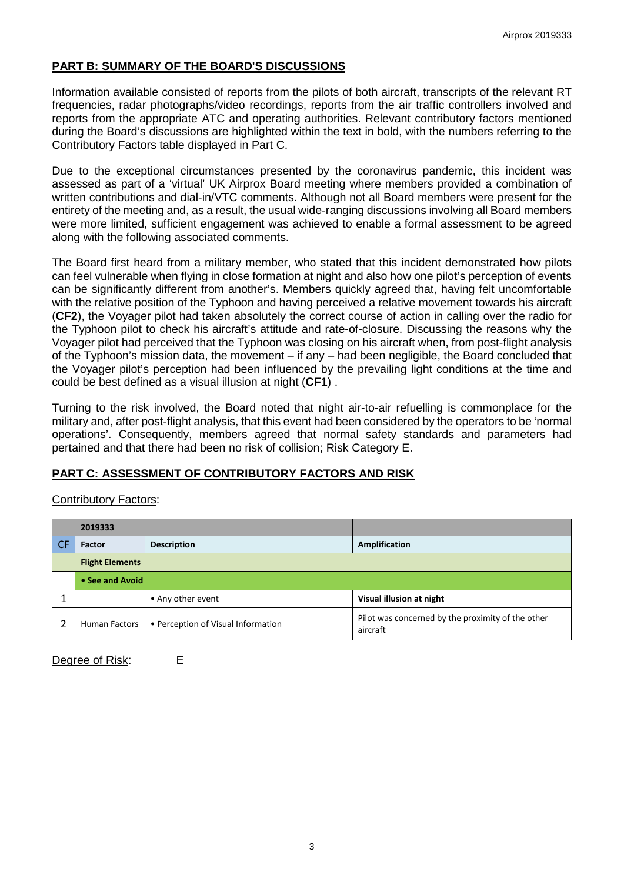## **PART B: SUMMARY OF THE BOARD'S DISCUSSIONS**

Information available consisted of reports from the pilots of both aircraft, transcripts of the relevant RT frequencies, radar photographs/video recordings, reports from the air traffic controllers involved and reports from the appropriate ATC and operating authorities. Relevant contributory factors mentioned during the Board's discussions are highlighted within the text in bold, with the numbers referring to the Contributory Factors table displayed in Part C.

Due to the exceptional circumstances presented by the coronavirus pandemic, this incident was assessed as part of a 'virtual' UK Airprox Board meeting where members provided a combination of written contributions and dial-in/VTC comments. Although not all Board members were present for the entirety of the meeting and, as a result, the usual wide-ranging discussions involving all Board members were more limited, sufficient engagement was achieved to enable a formal assessment to be agreed along with the following associated comments.

The Board first heard from a military member, who stated that this incident demonstrated how pilots can feel vulnerable when flying in close formation at night and also how one pilot's perception of events can be significantly different from another's. Members quickly agreed that, having felt uncomfortable with the relative position of the Typhoon and having perceived a relative movement towards his aircraft (**CF2**), the Voyager pilot had taken absolutely the correct course of action in calling over the radio for the Typhoon pilot to check his aircraft's attitude and rate-of-closure. Discussing the reasons why the Voyager pilot had perceived that the Typhoon was closing on his aircraft when, from post-flight analysis of the Typhoon's mission data, the movement – if any – had been negligible, the Board concluded that the Voyager pilot's perception had been influenced by the prevailing light conditions at the time and could be best defined as a visual illusion at night (**CF1**) .

Turning to the risk involved, the Board noted that night air-to-air refuelling is commonplace for the military and, after post-flight analysis, that this event had been considered by the operators to be 'normal operations'. Consequently, members agreed that normal safety standards and parameters had pertained and that there had been no risk of collision; Risk Category E.

# **PART C: ASSESSMENT OF CONTRIBUTORY FACTORS AND RISK**

|           | 2019333                |                                    |                                                               |  |  |  |  |
|-----------|------------------------|------------------------------------|---------------------------------------------------------------|--|--|--|--|
| <b>CF</b> | Factor                 | <b>Description</b>                 | <b>Amplification</b>                                          |  |  |  |  |
|           | <b>Flight Elements</b> |                                    |                                                               |  |  |  |  |
|           | • See and Avoid        |                                    |                                                               |  |  |  |  |
|           |                        | • Any other event                  | Visual illusion at night                                      |  |  |  |  |
|           | Human Factors          | • Perception of Visual Information | Pilot was concerned by the proximity of the other<br>aircraft |  |  |  |  |

## Contributory Factors:

Degree of Risk: E